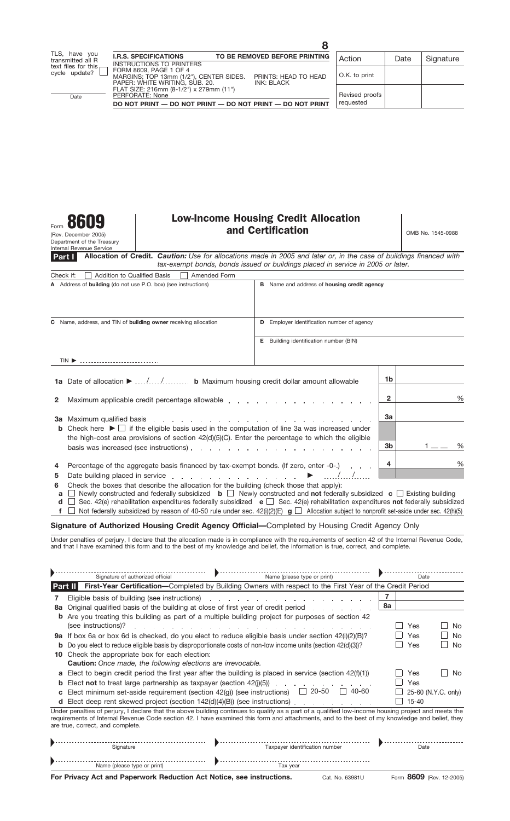(Rev. December 2005) Department of the Treasury Internal Revenue Service

# Form **8609** Low-Income Housing Credit Allocation<br> **And Certification and Certification**

| Allocation of Credit. Caution: Use for allocations made in 2005 and later or, in the case of buildings financed with<br>Part I<br>tax-exempt bonds, bonds issued or buildings placed in service in 2005 or later.                                                                                                                                                                                         |                                                    |         |  |  |  |  |  |
|-----------------------------------------------------------------------------------------------------------------------------------------------------------------------------------------------------------------------------------------------------------------------------------------------------------------------------------------------------------------------------------------------------------|----------------------------------------------------|---------|--|--|--|--|--|
| <b>Addition to Qualified Basis</b><br>Amended Form<br>Check if:                                                                                                                                                                                                                                                                                                                                           |                                                    |         |  |  |  |  |  |
| A Address of building (do not use P.O. box) (see instructions)                                                                                                                                                                                                                                                                                                                                            | <b>B</b> Name and address of housing credit agency |         |  |  |  |  |  |
| Name, address, and TIN of <b>building owner</b> receiving allocation<br>C                                                                                                                                                                                                                                                                                                                                 | <b>D</b> Employer identification number of agency  |         |  |  |  |  |  |
|                                                                                                                                                                                                                                                                                                                                                                                                           | <b>E</b> Building identification number (BIN)      |         |  |  |  |  |  |
| $TIN$ $\triangleright$                                                                                                                                                                                                                                                                                                                                                                                    |                                                    |         |  |  |  |  |  |
|                                                                                                                                                                                                                                                                                                                                                                                                           |                                                    | 1b      |  |  |  |  |  |
| Maximum applicable credit percentage allowable expansion and containing the state of the Maximum applicable redit percentage allowable<br>2                                                                                                                                                                                                                                                               | %<br>$\mathbf{2}$                                  |         |  |  |  |  |  |
| Maximum qualified basis entering to the contract of the contract of the contract of the contract of the contract of the contract of the contract of the contract of the contract of the contract of the contract of the contra<br>За                                                                                                                                                                      |                                                    | 3a      |  |  |  |  |  |
| <b>b</b> Check here $\blacktriangleright \Box$ if the eligible basis used in the computation of line 3a was increased under<br>the high-cost area provisions of section $42(d)(5)(C)$ . Enter the percentage to which the eligible                                                                                                                                                                        |                                                    |         |  |  |  |  |  |
|                                                                                                                                                                                                                                                                                                                                                                                                           |                                                    | 3b<br>% |  |  |  |  |  |
| Percentage of the aggregate basis financed by tax-exempt bonds. (If zero, enter -0-.)<br>4                                                                                                                                                                                                                                                                                                                | %<br>4                                             |         |  |  |  |  |  |
| Date building placed in service<br>5                                                                                                                                                                                                                                                                                                                                                                      |                                                    |         |  |  |  |  |  |
| Check the boxes that describe the allocation for the building (check those that apply):<br>6<br>Newly constructed and federally subsidized $\mathbf{b}$ $\Box$ Newly constructed and not federally subsidized $\mathbf{c}$ $\Box$ Existing building<br>a<br>Sec. 42(e) rehabilitation expenditures federally subsidized $\mathbf{e}$ Sec. 42(e) rehabilitation expenditures not federally subsidized<br>d |                                                    |         |  |  |  |  |  |
| Not federally subsidized by reason of 40-50 rule under sec. $42(i)(2)(E)$ g $\Box$ Allocation subject to nonprofit set-aside under sec. $42(i)(5)$                                                                                                                                                                                                                                                        |                                                    |         |  |  |  |  |  |

#### **Signature of Authorized Housing Credit Agency Official—**Completed by Housing Credit Agency Only

Under penalties of perjury, I declare that the allocation made is in compliance with the requirements of section 42 of the Internal Revenue Code, and that I have examined this form and to the best of my knowledge and belief, the information is true, correct, and complete.

|                                                                                                                                                                                                                                                                                                                                           | Signature of authorized official                                                 | Name (please type or print)                                                                                                                                                                                                   | Date |           |                     |  |  |
|-------------------------------------------------------------------------------------------------------------------------------------------------------------------------------------------------------------------------------------------------------------------------------------------------------------------------------------------|----------------------------------------------------------------------------------|-------------------------------------------------------------------------------------------------------------------------------------------------------------------------------------------------------------------------------|------|-----------|---------------------|--|--|
| First-Year Certification-Completed by Building Owners with respect to the First Year of the Credit Period<br><b>Part II</b>                                                                                                                                                                                                               |                                                                                  |                                                                                                                                                                                                                               |      |           |                     |  |  |
|                                                                                                                                                                                                                                                                                                                                           | Eligible basis of building (see instructions)                                    |                                                                                                                                                                                                                               |      |           |                     |  |  |
| 8а                                                                                                                                                                                                                                                                                                                                        | Original qualified basis of the building at close of first year of credit period |                                                                                                                                                                                                                               | 8а   |           |                     |  |  |
| b                                                                                                                                                                                                                                                                                                                                         |                                                                                  | Are you treating this building as part of a multiple building project for purposes of section 42                                                                                                                              |      |           |                     |  |  |
|                                                                                                                                                                                                                                                                                                                                           | (see instructions)?                                                              | a construction of the construction of the construction of the construction of the construction of the construction of the construction of the construction of the construction of the construction of the construction of the |      | Yes       | No.                 |  |  |
| 9а                                                                                                                                                                                                                                                                                                                                        |                                                                                  | If box 6a or box 6d is checked, do you elect to reduce eligible basis under section $42(i)(2)(B)$ ?                                                                                                                           |      | Yes       | No.                 |  |  |
| b                                                                                                                                                                                                                                                                                                                                         |                                                                                  | Do you elect to reduce eligible basis by disproportionate costs of non-low income units (section 42(d)(3))?                                                                                                                   |      | Yes       | <b>No</b>           |  |  |
| 10                                                                                                                                                                                                                                                                                                                                        | Check the appropriate box for each election:                                     |                                                                                                                                                                                                                               |      |           |                     |  |  |
|                                                                                                                                                                                                                                                                                                                                           | <b>Caution:</b> Once made, the following elections are irrevocable.              |                                                                                                                                                                                                                               |      |           |                     |  |  |
| a                                                                                                                                                                                                                                                                                                                                         |                                                                                  | Elect to begin credit period the first year after the building is placed in service (section $42(f)(1)$ )                                                                                                                     |      | Yes       | No.                 |  |  |
| b                                                                                                                                                                                                                                                                                                                                         | Elect <b>not</b> to treat large partnership as taxpayer (section $42(j)(5)$ )    |                                                                                                                                                                                                                               |      | Yes       |                     |  |  |
| C                                                                                                                                                                                                                                                                                                                                         | Elect minimum set-aside requirement (section $42(g)$ ) (see instructions)        | 20-50<br>40-60<br>$\mathbf{I}$                                                                                                                                                                                                |      |           | 25-60 (N.Y.C. only) |  |  |
|                                                                                                                                                                                                                                                                                                                                           | Elect deep rent skewed project (section 142(d)(4)(B)) (see instructions).        |                                                                                                                                                                                                                               |      | $15 - 40$ |                     |  |  |
| Under penalties of perjury, I declare that the above building continues to qualify as a part of a qualified low-income housing project and meets the<br>requirements of Internal Revenue Code section 42. I have examined this form and attachments, and to the best of my knowledge and belief, they<br>are true, correct, and complete. |                                                                                  |                                                                                                                                                                                                                               |      |           |                     |  |  |
|                                                                                                                                                                                                                                                                                                                                           | Signature                                                                        | Taxpayer identification number                                                                                                                                                                                                |      | Date      |                     |  |  |
|                                                                                                                                                                                                                                                                                                                                           | Name (please type or print)                                                      | Tax year                                                                                                                                                                                                                      |      |           |                     |  |  |

**For Privacy Act and Paperwork Reduction Act Notice, see instructions.** Cat. No. 63981U Form 8609 (Rev. 12-2005)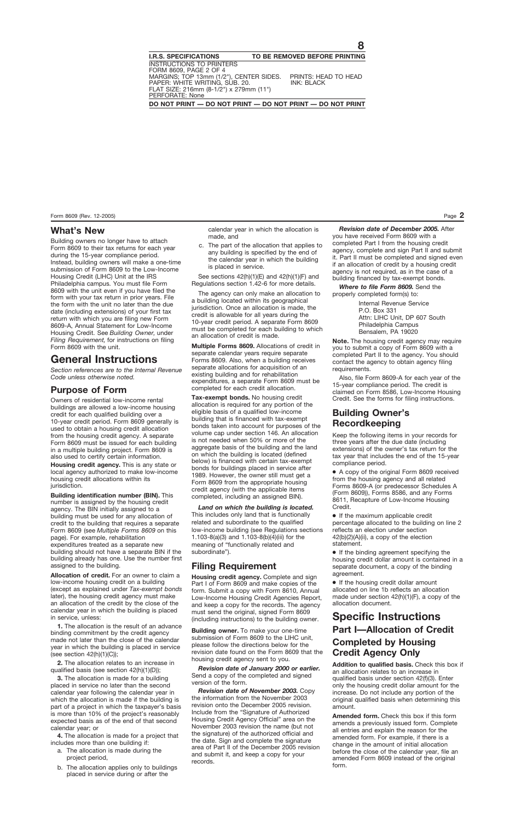#### **What's New**

Building owners no longer have to attach Form 8609 to their tax returns for each year during the 15-year compliance period. Instead, building owners will make a one-time submission of Form 8609 to the Low-Income Housing Credit (LIHC) Unit at the IRS Philadelphia campus. You must file Form 8609 with the unit even if you have filed the form with your tax return in prior years. File the form with the unit no later than the due date (including extensions) of your first tax return with which you are filing new Form 8609-A, Annual Statement for Low-Income Housing Credit. See *Building Owner,* under *Filing Requirement,* for instructions on filing Form 8609 with the unit.

# **General Instructions**

*Section references are to the Internal Revenue Code unless otherwise noted.*

#### **Purpose of Form**

Owners of residential low-income rental buildings are allowed a low-income housing credit for each qualified building over a 10-year credit period. Form 8609 generally is used to obtain a housing credit allocation from the housing credit agency. A separate Form 8609 must be issued for each building in a multiple building project. Form 8609 is also used to certify certain information.

**Housing credit agency.** This is any state or local agency authorized to make low-income housing credit allocations within its jurisdiction.

**Building identification number (BIN).** This number is assigned by the housing credit agency. The BIN initially assigned to a building must be used for any allocation of credit to the building that requires a separate Form 8609 (see *Multiple Forms 8609* on this page). For example, rehabilitation expenditures treated as a separate new building should not have a separate BIN if the building already has one. Use the number first assigned to the building.

**Allocation of credit.** For an owner to claim a low-income housing credit on a building (except as explained under *Tax-exempt bonds* later), the housing credit agency must make an allocation of the credit by the close of the calendar year in which the building is placed in service, unless:

**1.** The allocation is the result of an advance binding commitment by the credit agency made not later than the close of the calendar year in which the building is placed in service (see section 42(h)(1)(C));

**2.** The allocation relates to an increase in qualified basis (see section 42(h)(1)(D));

**3.** The allocation is made for a building placed in service no later than the second calendar year following the calendar year in which the allocation is made if the building is part of a project in which the taxpayer's basis is more than 10% of the project's reasonably expected basis as of the end of that second calendar year; or

**4.** The allocation is made for a project that includes more than one building if:

- a. The allocation is made during the project period,
- b. The allocation applies only to buildings placed in service during or after the

calendar year in which the allocation is made, and

c. The part of the allocation that applies to any building is specified by the end of the calendar year in which the building is placed in service.

See sections 42(h)(1)(E) and 42(h)(1)(F) and Regulations section 1.42-6 for more details.

The agency can only make an allocation to a building located within its geographical jurisdiction. Once an allocation is made, the credit is allowable for all years during the 10-year credit period. A separate Form 8609 must be completed for each building to which an allocation of credit is made.

**Multiple Forms 8609.** Allocations of credit in separate calendar years require separate Forms 8609. Also, when a building receives separate allocations for acquisition of an existing building and for rehabilitation expenditures, a separate Form 8609 must be completed for each credit allocation.

**Tax-exempt bonds.** No housing credit allocation is required for any portion of the eligible basis of a qualified low-income building that is financed with tax-exempt bonds taken into account for purposes of the volume cap under section 146. An allocation is not needed when 50% or more of the aggregate basis of the building and the land on which the building is located (defined below) is financed with certain tax-exempt bonds for buildings placed in service after 1989. However, the owner still must get a Form 8609 from the appropriate housing credit agency (with the applicable items completed, including an assigned BIN).

*Land on which the building is located.* This includes only land that is functionally related and subordinate to the qualified low-income building (see Regulations sections 1.103-8(a)(3) and 1.103-8(b)(4)(iii) for the meaning of "functionally related and subordinate").

# **Filing Requirement**

**Housing credit agency.** Complete and sign Part I of Form 8609 and make copies of the form. Submit a copy with Form 8610, Annual Low-Income Housing Credit Agencies Report, and keep a copy for the records. The agency must send the original, signed Form 8609 (including instructions) to the building owner.

**Building owner.** To make your one-time submission of Form 8609 to the LIHC unit, please follow the directions below for the revision date found on the Form 8609 that the housing credit agency sent to you.

*Revision date of January 2000 or earlier.* Send a copy of the completed and signed version of the form.

*Revision date of November 2003.* Copy the information from the November 2003 revision onto the December 2005 revision. Include from the "Signature of Authorized Housing Credit Agency Official" area on the November 2003 revision the name (but not the signature) of the authorized official and the date. Sign and complete the signature area of Part II of the December 2005 revision and submit it, and keep a copy for your records.

*Revision date of December 2005.* After you have received Form 8609 with a completed Part I from the housing credit agency, complete and sign Part II and submit it. Part II must be completed and signed even if an allocation of credit by a housing credit agency is not required, as in the case of a building financed by tax-exempt bonds.

*Where to file Form 8609.* Send the properly completed form(s) to:

> Internal Revenue Service P.O. Box 331 Attn: LIHC Unit, DP 607 South Philadelphia Campus Bensalem, PA 19020

**Note.** The housing credit agency may require you to submit a copy of Form 8609 with a completed Part II to the agency. You should contact the agency to obtain agency filing requirements.

Also, file Form 8609-A for each year of the 15-year compliance period. The credit is claimed on Form 8586, Low-Income Housing Credit. See the forms for filing instructions.

## **Building Owner's Recordkeeping**

Keep the following items in your records for three years after the due date (including extensions) of the owner's tax return for the tax year that includes the end of the 15-year compliance period.

● A copy of the original Form 8609 received from the housing agency and all related Forms 8609-A (or predecessor Schedules A (Form 8609)), Forms 8586, and any Forms 8611, Recapture of Low-Income Housing Credit.

● If the maximum applicable credit percentage allocated to the building on line 2 reflects an election under section 42(b)(2)(A)(ii), a copy of the election statement.

● If the binding agreement specifying the housing credit dollar amount is contained in a separate document, a copy of the binding agreement.

● If the housing credit dollar amount allocated on line 1b reflects an allocation made under section 42(h)(1)(F), a copy of the allocation document.

# **Specific Instructions Part I—Allocation of Credit Completed by Housing Credit Agency Only**

**Addition to qualified basis.** Check this box if an allocation relates to an increase in qualified basis under section 42(f)(3). Enter only the housing credit dollar amount for the increase. Do not include any portion of the original qualified basis when determining this amount.

**Amended form.** Check this box if this form amends a previously issued form. Complete all entries and explain the reason for the amended form. For example, if there is a change in the amount of initial allocation before the close of the calendar year, file an amended Form 8609 instead of the original form.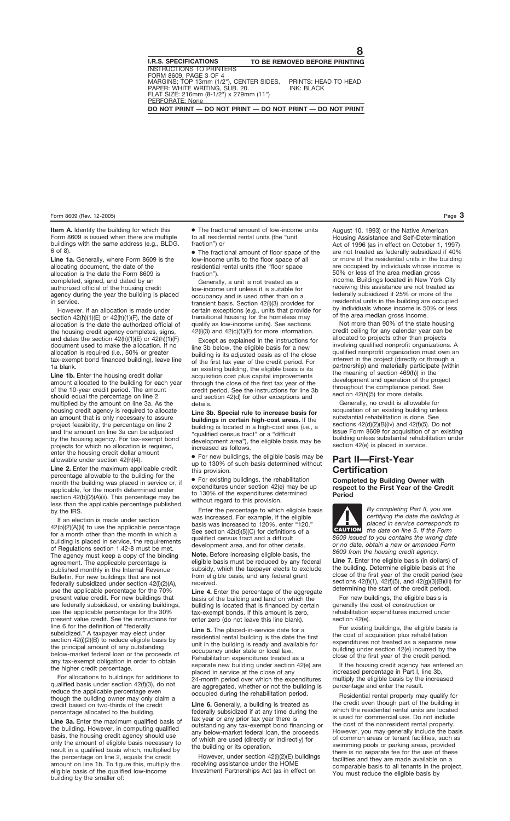**Item A.** Identify the building for which this Form 8609 is issued when there are multiple buildings with the same address (e.g., BLDG. 6 of 8).

Line 1a. Generally, where Form 8609 is the allocating document, the date of the allocation is the date the Form 8609 is completed, signed, and dated by an authorized official of the housing credit agency during the year the building is placed in service.

However, if an allocation is made under section  $42(h)(1)(E)$  or  $42(h)(1)(F)$ , the date of allocation is the date the authorized official of the housing credit agency completes, signs, and dates the section 42(h)(1)(E) or 42(h)(1)(F) document used to make the allocation. If no allocation is required (i.e., 50% or greater tax-exempt bond financed building), leave line 1a blank.

Line 1b. Enter the housing credit dollar amount allocated to the building for each year of the 10-year credit period. The amount should equal the percentage on line 2 multiplied by the amount on line 3a. As the housing credit agency is required to allocate an amount that is only necessary to assure project feasibility, the percentage on line 2 and the amount on line 3a can be adjusted by the housing agency. For tax-exempt bond projects for which no allocation is required, enter the housing credit dollar amount allowable under section 42(h)(4).

**Line 2.** Enter the maximum applicable credit percentage allowable to the building for the month the building was placed in service or, if applicable, for the month determined under section 42(b)(2)(A)(ii). This percentage may be less than the applicable percentage published by the IRS.

If an election is made under section 42(b)(2)(A)(ii) to use the applicable percentage for a month other than the month in which a building is placed in service, the requirements of Regulations section 1.42-8 must be met. The agency must keep a copy of the binding agreement. The applicable percentage is published monthly in the Internal Revenue Bulletin. For new buildings that are not federally subsidized under section 42(i)(2)(A), use the applicable percentage for the 70% present value credit. For new buildings that are federally subsidized, or existing buildings, use the applicable percentage for the 30% present value credit. See the instructions for line 6 for the definition of "federally subsidized." A taxpayer may elect under section 42(i)(2)(B) to reduce eligible basis by the principal amount of any outstanding below-market federal loan or the proceeds of any tax-exempt obligation in order to obtain the higher credit percentage.

For allocations to buildings for additions to qualified basis under section 42(f)(3), do not reduce the applicable percentage even though the building owner may only claim a credit based on two-thirds of the credit percentage allocated to the building.

**Line 3a.** Enter the maximum qualified basis of the building. However, in computing qualified basis, the housing credit agency should use only the amount of eligible basis necessary to result in a qualified basis which, multiplied by the percentage on line 2, equals the credit amount on line 1b. To figure this, multiply the eligible basis of the qualified low-income building by the smaller of:

● The fractional amount of low-income units to all residential rental units (the "unit fraction") or

● The fractional amount of floor space of the low-income units to the floor space of all residential rental units (the "floor space fraction").

Generally, a unit is not treated as a low-income unit unless it is suitable for occupancy and is used other than on a transient basis. Section 42(i)(3) provides for certain exceptions (e.g., units that provide for transitional housing for the homeless may qualify as low-income units). See sections  $42(i)(3)$  and  $42(c)(1)(E)$  for more information.

Except as explained in the instructions for line 3b below, the eligible basis for a new building is its adjusted basis as of the close of the first tax year of the credit period. For an existing building, the eligible basis is its acquisition cost plus capital improvements through the close of the first tax year of the credit period. See the instructions for line 3b and section 42(d) for other exceptions and details.

**Line 3b. Special rule to increase basis for buildings in certain high-cost areas.** If the building is located in a high-cost area (i.e., a "qualified census tract" or a "difficult development area"), the eligible basis may be increased as follows.

● For new buildings, the eligible basis may be up to 130% of such basis determined without this provision.

● For existing buildings, the rehabilitation expenditures under section 42(e) may be up to 130% of the expenditures determined without regard to this provision.

Enter the percentage to which eligible basis was increased. For example, if the eligible basis was increased to 120%, enter "120." See section 42(d)(5)(C) for definitions of a qualified census tract and a difficult development area, and for other details.

**Note.** Before increasing eligible basis, the eligible basis must be reduced by any federal subsidy, which the taxpayer elects to exclude from eligible basis, and any federal grant received.

Line 4. Enter the percentage of the aggregate basis of the building and land on which the building is located that is financed by certain tax-exempt bonds. If this amount is zero, enter zero (do not leave this line blank).

Line 5. The placed-in-service date for a residential rental building is the date the first unit in the building is ready and available for occupancy under state or local law. Rehabilitation expenditures treated as a separate new building under section 42(e) are placed in service at the close of any 24-month period over which the expenditures are aggregated, whether or not the building is occupied during the rehabilitation period.

Line 6. Generally, a building is treated as federally subsidized if at any time during the tax year or any prior tax year there is outstanding any tax-exempt bond financing or any below-market federal loan, the proceeds of which are used (directly or indirectly) for the building or its operation.

However, under section 42(i)(2)(E) buildings receiving assistance under the HOME Investment Partnerships Act (as in effect on

August 10, 1993) or the Native American Housing Assistance and Self-Determination Act of 1996 (as in effect on October 1, 1997) are not treated as federally subsidized if 40% or more of the residential units in the building are occupied by individuals whose income is 50% or less of the area median gross income. Buildings located in New York City receiving this assistance are not treated as federally subsidized if 25% or more of the residential units in the building are occupied by individuals whose income is 50% or less of the area median gross income.

Not more than 90% of the state housing credit ceiling for any calendar year can be allocated to projects other than projects involving qualified nonprofit organizations. A qualified nonprofit organization must own an interest in the project (directly or through a partnership) and materially participate (within the meaning of section 469(h)) in the development and operation of the project throughout the compliance period. See section 42(h)(5) for more details.

Generally, no credit is allowable for acquisition of an existing building unless substantial rehabilitation is done. See sections 42(d)(2)(B)(iv) and 42(f)(5). Do not issue Form 8609 for acquisition of an existing building unless substantial rehabilitation under section 42(e) is placed in service.

### **Part II—First-Year Certification**

**Completed by Building Owner with respect to the First Year of the Credit Period**



*By completing Part II, you are certifying the date the building is placed in service corresponds to the date on line 5. If the Form*

*8609 issued to you contains the wrong date or no date, obtain a new or amended Form 8609 from the housing credit agency.*

Line 7. Enter the eligible basis (in dollars) of the building. Determine eligible basis at the close of the first year of the credit period (see sections 42(f)(1), 42(f)(5), and 42(g)(3)(B)(iii) for determining the start of the credit period).

For new buildings, the eligible basis is generally the cost of construction or rehabilitation expenditures incurred under section 42(e).

For existing buildings, the eligible basis is the cost of acquisition plus rehabilitation expenditures not treated as a separate new building under section 42(e) incurred by the close of the first year of the credit period.

If the housing credit agency has entered an increased percentage in Part I, line 3b, multiply the eligible basis by the increased percentage and enter the result.

Residential rental property may qualify for the credit even though part of the building in which the residential rental units are located is used for commercial use. Do not include the cost of the nonresident rental property. However, you may generally include the basis of common areas or tenant facilities, such as swimming pools or parking areas, provided there is no separate fee for the use of these facilities and they are made available on a comparable basis to all tenants in the project. You must reduce the eligible basis by